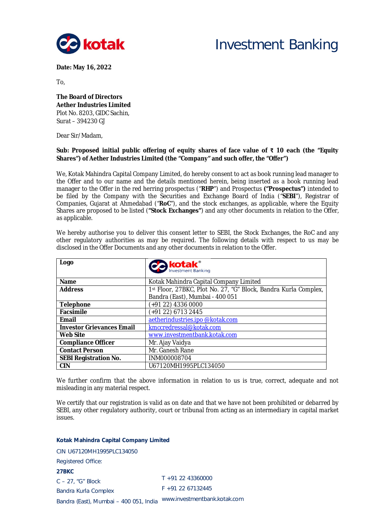

# Investment Banking

**Date: May 16, 2022**

To,

**The Board of Directors Aether Industries Limited** Plot No. 8203, GIDC Sachin, Surat – 394230 GJ

Dear Sir/Madam,

## **Sub: Proposed initial public offering of equity shares of face value of ₹ 10 each (the "Equity Shares") of Aether Industries Limited (the "Company" and such offer, the "Offer")**

We, Kotak Mahindra Capital Company Limited, do hereby consent to act as book running lead manager to the Offer and to our name and the details mentioned herein, being inserted as a book running lead manager to the Offer in the red herring prospectus ("**RHP**") and Prospectus **("Prospectus")** intended to be filed by the Company with the Securities and Exchange Board of India ("**SEBI**"), Registrar of Companies, Gujarat at Ahmedabad ("**RoC**"), and the stock exchanges, as applicable, where the Equity Shares are proposed to be listed (**"Stock Exchanges"**) and any other documents in relation to the Offer, as applicable.

| Logo                             |                                                                 |  |  |  |  |
|----------------------------------|-----------------------------------------------------------------|--|--|--|--|
|                                  | <b>CO</b> kotak <sup>®</sup>                                    |  |  |  |  |
|                                  |                                                                 |  |  |  |  |
| <b>Name</b>                      | Kotak Mahindra Capital Company Limited                          |  |  |  |  |
| <b>Address</b>                   | 1st Floor, 27BKC, Plot No. 27, "G" Block, Bandra Kurla Complex, |  |  |  |  |
|                                  | Bandra (East), Mumbai - 400 051                                 |  |  |  |  |
| <b>Telephone</b>                 | (+91 22) 4336 0000                                              |  |  |  |  |
| Facsimile                        | (+91 22) 6713 2445                                              |  |  |  |  |
| Email                            | aetherindustries.ipo@kotak.com                                  |  |  |  |  |
| <b>Investor Grievances Email</b> | kmccredressal@kotak.com                                         |  |  |  |  |
| <b>Web Site</b>                  | www.investmentbank.kotak.com                                    |  |  |  |  |
| <b>Compliance Officer</b>        | Mr. Ajay Vaidya                                                 |  |  |  |  |
| <b>Contact Person</b>            | Mr. Ganesh Rane                                                 |  |  |  |  |
| <b>SEBI Registration No.</b>     | INM000008704                                                    |  |  |  |  |
| <b>CIN</b>                       | U67120MH1995PLC134050                                           |  |  |  |  |

We hereby authorise you to deliver this consent letter to SEBI, the Stock Exchanges, the RoC and any other regulatory authorities as may be required. The following details with respect to us may be disclosed in the Offer Documents and any other documents in relation to the Offer.

We further confirm that the above information in relation to us is true, correct, adequate and not misleading in any material respect.

We certify that our registration is valid as on date and that we have not been prohibited or debarred by SEBI, any other regulatory authority, court or tribunal from acting as an intermediary in capital market issues.

### **Kotak Mahindra Capital Company Limited**

CIN U67120MH1995PLC134050 Registered Office:

**27BKC**

C – 27, "G" Block Bandra Kurla Complex Bandra (East), Mumbai – 400 051, India www.investmentbank.kotak.com T +91 22 43360000 F +91 22 67132445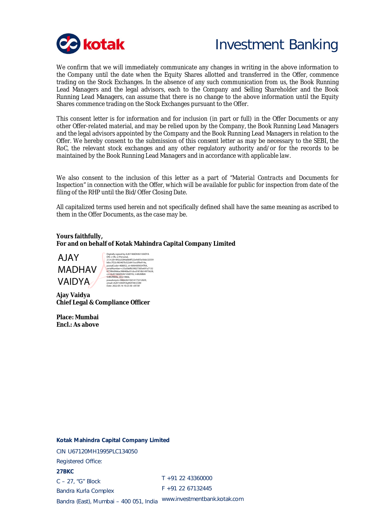

## Investment Banking

We confirm that we will immediately communicate any changes in writing in the above information to the Company until the date when the Equity Shares allotted and transferred in the Offer, commence trading on the Stock Exchanges. In the absence of any such communication from us, the Book Running Lead Managers and the legal advisors, each to the Company and Selling Shareholder and the Book Running Lead Managers, can assume that there is no change to the above information until the Equity Shares commence trading on the Stock Exchanges pursuant to the Offer.

This consent letter is for information and for inclusion (in part or full) in the Offer Documents or any other Offer-related material, and may be relied upon by the Company, the Book Running Lead Managers and the legal advisors appointed by the Company and the Book Running Lead Managers in relation to the Offer. We hereby consent to the submission of this consent letter as may be necessary to the SEBI, the RoC, the relevant stock exchanges and any other regulatory authority and/or for the records to be maintained by the Book Running Lead Managers and in accordance with applicable law.

We also consent to the inclusion of this letter as a part of "*Material Contracts and Documents for Inspection*" in connection with the Offer, which will be available for public for inspection from date of the filing of the RHP until the Bid/Offer Closing Date.

All capitalized terms used herein and not specifically defined shall have the same meaning as ascribed to them in the Offer Documents, as the case may be.

## **Yours faithfully, For and on behalf of Kotak Mahindra Capital Company Limited**

AJAY MADHAV VAIDYA

itally signed by AJAY MADHAV VAIDYA<br>∶c≕lN, o≕Persona! DN: c=lN, o=Personal,<br>25.4.20=892a3284a0b8f522e9d55e56dc32559<br>b0cc7f22c903407b322d415ce3f9e914a,<br>postalCode=400052, st=MAHARASHTRA,<br>serialNumber=C33a5b6fb39027305e691a7132<br>6778fe0966ac98840ba91cbcd187db14975628,<br>078fe0966a pseudonym=986620210414173212029, email=AJAY.VAIDYA@KOTAK.COM Date: 2022.05.16 10:23:30 +05'30'

**Ajay Vaidya Chief Legal & Compliance Officer**

**Place: Mumbai Encl.: As above**

### **Kotak Mahindra Capital Company Limited**

CIN U67120MH1995PLC134050 Registered Office: **27BKC** C – 27, "G" Block

T +91 22 43360000 F +91 22 67132445

Bandra (East), Mumbai – 400 051, India www.investmentbank.kotak.com

Bandra Kurla Complex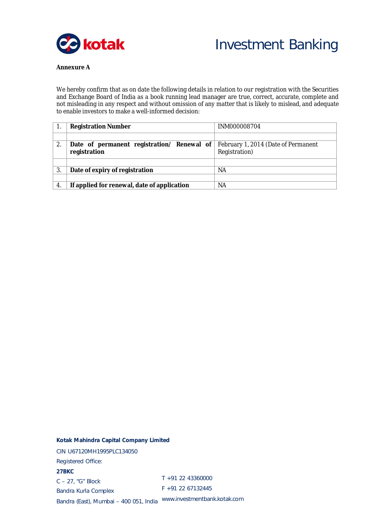



## **Annexure A**

We hereby confirm that as on date the following details in relation to our registration with the Securities and Exchange Board of India as a book running lead manager are true, correct, accurate, complete and not misleading in any respect and without omission of any matter that is likely to mislead, and adequate to enable investors to make a well-informed decision:

|    | <b>Registration Number</b>                                 | INM000008704                                         |
|----|------------------------------------------------------------|------------------------------------------------------|
|    |                                                            |                                                      |
| 2. | Date of permanent registration/ Renewal of<br>registration | February 1, 2014 (Date of Permanent<br>Registration) |
|    |                                                            |                                                      |
| 3. | Date of expiry of registration                             | ΝA                                                   |
|    |                                                            |                                                      |
| 4. | If applied for renewal, date of application                | NA                                                   |

#### **Kotak Mahindra Capital Company Limited**

CIN U67120MH1995PLC134050 Registered Office: **27BKC** C – 27, "G" Block Bandra Kurla Complex Bandra (East), Mumbai – 400 051, India www.investmentbank.kotak.com T +91 22 43360000 F +91 22 67132445